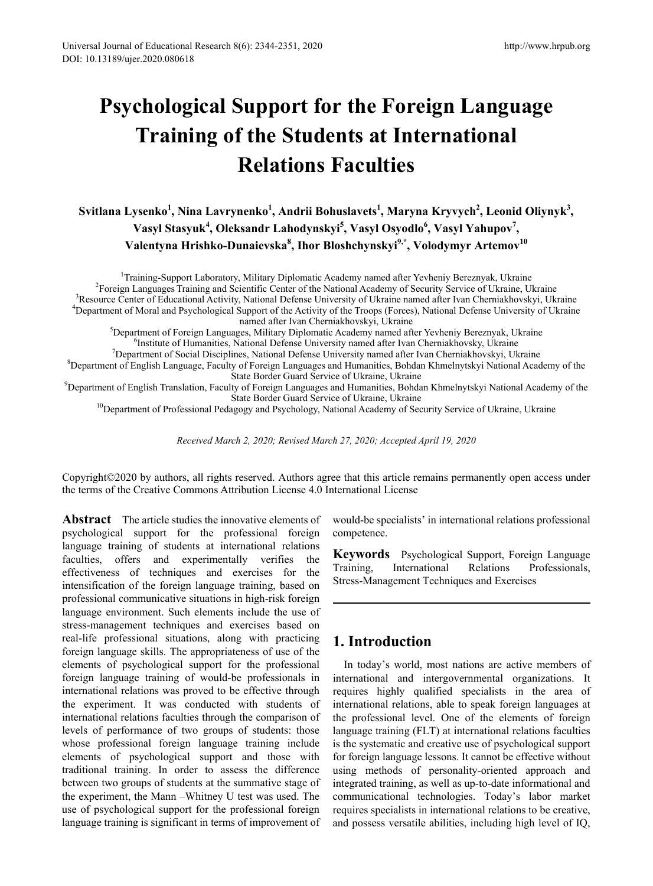# **Psychological Support for the Foreign Language Training of the Students at International Relations Faculties**

**Svitlana Lysenko<sup>1</sup> , Nina Lavrynenko<sup>1</sup> , Andrii Bohuslavets<sup>1</sup> , Maryna Kryvych<sup>2</sup> , Leonid Oliynyk<sup>3</sup> , Vasyl Stasyuk<sup>4</sup> , Oleksandr Lahodynskyi<sup>5</sup> , Vasyl Osyodlo6 , Vasyl Yahupov7 , Valentyna Hrishko-Dunaievska<sup>8</sup> , Ihor Bloshchynskyi9,\* , Volodymyr Artemov<sup>10</sup>**

<sup>1</sup>Training-Support Laboratory, Military Diplomatic Academy named after Yevheniy Bereznyak, Ukraine<br><sup>2</sup>Eoreign Languages Training and Scientific Center of the National Academy of Security Service of Ukraine 11<sup>2</sup> <sup>2</sup> Foreign Languages Training and Scientific Center of the National Academy of Security Service of Ukraine, Ukraine <sup>3</sup>Resource Center of Educational Activity, National Defense University of Ukraine named after Ivan Cherniakhovskyi, Ukraine Department of Moral and Psychological Support of the Activity of the Troops (Forces), National Defense University of Ukraine named after Ivan Cherniakhovskyi, Ukraine<br>Spenartment of Eoreign Languages, Military Diplomatic Academy named af

Department of Foreign Languages, Military Diplomatic Academy named after Yevheniy Bereznyak, Ukraine <sup>6</sup> <sup>o</sup>Institute of Humanities, National Defense University named after Ivan Cherniakhovsky, Ukraine<br><sup>7</sup>Department of Social Disciplines, National Defense University named after Ivan Cherniakhovskyi, Ul Department of Social Disciplines, National Defense University named after Ivan Cherniakhovskyi, Ukraine 8<br>Spenartment of English Language, Eaculty of Eoreign Languages and Humanities, Bohdan Khmelnytskyi National Aca

 ${}^{8}$ Department of English Language, Faculty of Foreign Languages and Humanities, Bohdan Khmelnytskyi National Academy of the<br>State Border Guard Service of Ukraine, Ukraine

State Border Guard Service of Ukraine, Ukraine<br>Pepartment of English Translation, Faculty of Foreign Languages and Humanities, Bohdan Khmelnytskyi National Academy of the  $^9$ <sup>10</sup>Department of Professional Pedagogy and Psychology, National Academy of Security Service of Ukraine, Ukraine

*Received March 2, 2020; Revised March 27, 2020; Accepted April 19, 2020*

Copyright©2020 by authors, all rights reserved. Authors agree that this article remains permanently open access under the terms of the Creative Commons Attribution License 4.0 International License

**Abstract** The article studies the innovative elements of psychological support for the professional foreign language training of students at international relations faculties, offers and experimentally verifies the effectiveness of techniques and exercises for the intensification of the foreign language training, based on professional communicative situations in high-risk foreign language environment. Such elements include the use of stress-management techniques and exercises based on real-life professional situations, along with practicing foreign language skills. The appropriateness of use of the elements of psychological support for the professional foreign language training of would-be professionals in international relations was proved to be effective through the experiment. It was conducted with students of international relations faculties through the comparison of levels of performance of two groups of students: those whose professional foreign language training include elements of psychological support and those with traditional training. In order to assess the difference between two groups of students at the summative stage of the experiment, the Mann –Whitney U test was used. The use of psychological support for the professional foreign language training is significant in terms of improvement of

would-be specialists' in international relations professional competence.

**Keywords** Psychological Support, Foreign Language Training, International Relations Professionals, Stress-Management Techniques and Exercises

# **1. Introduction**

In today's world, most nations are active members of international and intergovernmental organizations. It requires highly qualified specialists in the area of international relations, able to speak foreign languages at the professional level. One of the elements of foreign language training (FLT) at international relations faculties is the systematic and creative use of psychological support for foreign language lessons. It cannot be effective without using methods of personality-oriented approach and integrated training, as well as up-to-date informational and communicational technologies. Today's labor market requires specialists in international relations to be creative, and possess versatile abilities, including high level of IQ,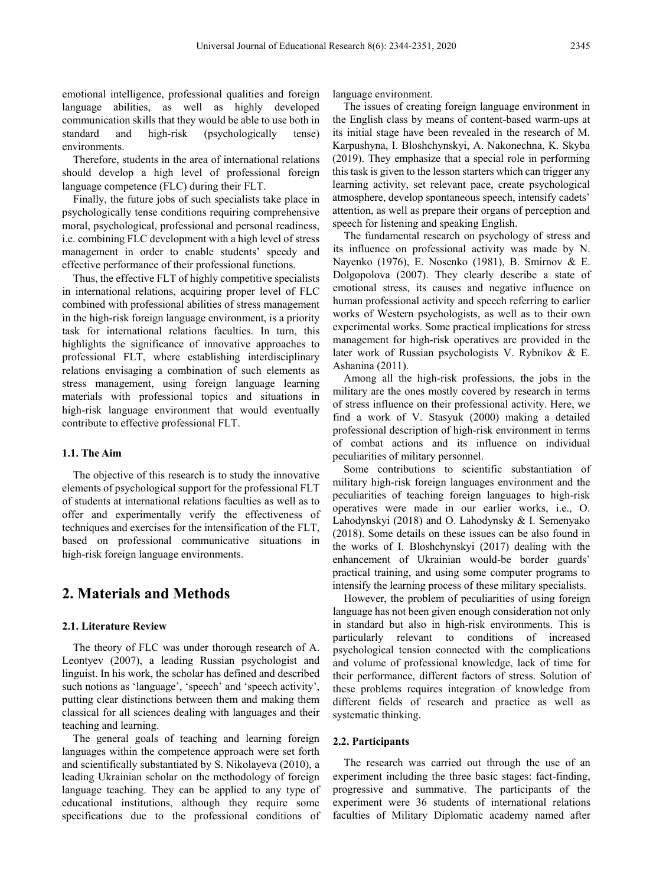emotional intelligence, professional qualities and foreign language abilities, as well as highly developed communication skills that they would be able to use both in standard and high-risk (psychologically tense) environments.

Therefore, students in the area of international relations should develop a high level of professional foreign language competence (FLC) during their FLT.

Finally, the future jobs of such specialists take place in psychologically tense conditions requiring comprehensive moral, psychological, professional and personal readiness, i.e. combining FLC development with a high level of stress management in order to enable students' speedy and effective performance of their professional functions.

Thus, the effective FLT of highly competitive specialists in international relations, acquiring proper level of FLC combined with professional abilities of stress management in the high-risk foreign language environment, is a priority task for international relations faculties. In turn, this highlights the significance of innovative approaches to professional FLT, where establishing interdisciplinary relations envisaging a combination of such elements as stress management, using foreign language learning materials with professional topics and situations in high-risk language environment that would eventually contribute to effective professional FLT.

#### **1.1. The Aim**

The objective of this research is to study the innovative elements of psychological support for the professional FLT of students at international relations faculties as well as to offer and experimentally verify the effectiveness of techniques and exercises for the intensification of the FLT, based on professional communicative situations in high-risk foreign language environments.

## **2. Materials and Methods**

#### **2.1. Literature Review**

The theory of FLC was under thorough research of А. Leontyev (2007), a leading Russian psychologist and linguist. In his work, the scholar has defined and described such notions as 'language', 'speech' and 'speech activity', putting clear distinctions between them and making them classical for all sciences dealing with languages and their teaching and learning.

The general goals of teaching and learning foreign languages within the competence approach were set forth and scientifically substantiated by S. Nikolayeva (2010), a leading Ukrainian scholar on the methodology of foreign language teaching. They can be applied to any type of educational institutions, although they require some specifications due to the professional conditions of language environment.

The issues of creating foreign language environment in the English class by means of content-based warm-ups at its initial stage have been revealed in the research of M. Karpushyna, I. Bloshchynskyi, A. Nakonechna, K. Skyba (2019). They emphasize that a special role in performing this task is given to the lesson starters which can trigger any learning activity, set relevant pace, create psychological atmosphere, develop spontaneous speech, intensify cadets' attention, as well as prepare their organs of perception and speech for listening and speaking English.

The fundamental research on psychology of stress and its influence on professional activity was made by N. Nayenko (1976), E. Nosenko (1981), B. Smirnov & Е. Dolgopolova (2007). They clearly describe a state of emotional stress, its causes and negative influence on human professional activity and speech referring to earlier works of Western psychologists, as well as to their own experimental works. Some practical implications for stress management for high-risk operatives are provided in the later work of Russian psychologists V. Rybnikov & E. Ashanina (2011).

Among all the high-risk professions, the jobs in the military are the ones mostly covered by research in terms of stress influence on their professional activity. Here, we find a work of V. Stasyuk (2000) making a detailed professional description of high-risk environment in terms of combat actions and its influence on individual peculiarities of military personnel.

Some contributions to scientific substantiation of military high-risk foreign languages environment and the peculiarities of teaching foreign languages to high-risk operatives were made in our earlier works, i.e., O. Lahodynskyi (2018) and O. Lahodynsky & I. Semenyako (2018). Some details on these issues can be also found in the works of I. Bloshchynskyi (2017) dealing with the enhancement of Ukrainian would-be border guards' practical training, and using some computer programs to intensify the learning process of these military specialists.

However, the problem of peculiarities of using foreign language has not been given enough consideration not only in standard but also in high-risk environments. This is particularly relevant to conditions of increased psychological tension connected with the complications and volume of professional knowledge, lack of time for their performance, different factors of stress. Solution of these problems requires integration of knowledge from different fields of research and practice as well as systematic thinking.

#### **2.2. Participants**

The research was carried out through the use of an experiment including the three basic stages: fact-finding, progressive and summative. The participants of the experiment were 36 students of international relations faculties of Military Diplomatic academy named after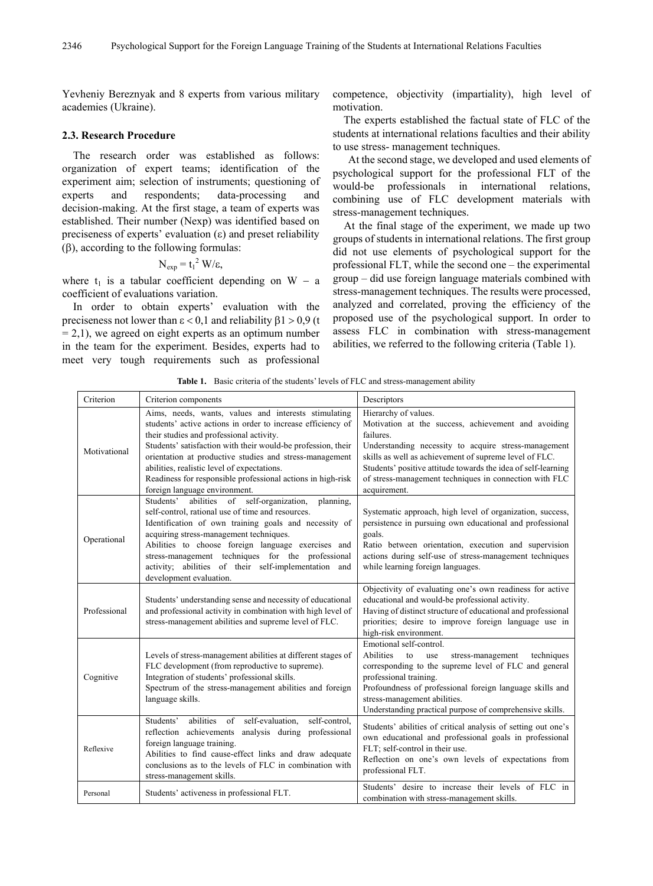Yevheniy Bereznyak and 8 experts from various military academies (Ukraine).

#### **2.3. Research Procedure**

The research order was established as follows: organization of expert teams; identification of the experiment aim; selection of instruments; questioning of experts and respondents; data-processing and decision-making. At the first stage, a team of experts was established. Their number (Nexp) was identified based on preciseness of experts' evaluation  $(\epsilon)$  and preset reliability (β), according to the following formulas:

$$
N_{exp} = t_1^2 W/\varepsilon,
$$

where  $t_1$  is a tabular coefficient depending on W − a coefficient of evaluations variation.

In order to obtain experts' evaluation with the preciseness not lower than  $\epsilon$  < 0,1 and reliability  $\beta$ 1 > 0,9 (t  $= 2.1$ ), we agreed on eight experts as an optimum number in the team for the experiment. Besides, experts had to meet very tough requirements such as professional

competence, objectivity (impartiality), high level of motivation.

The experts established the factual state of FLC of the students at international relations faculties and their ability to use stress- management techniques.

At the second stage, we developed and used elements of psychological support for the professional FLT of the would-be professionals in international relations, combining use of FLC development materials with stress-management techniques.

At the final stage of the experiment, we made up two groups of students in international relations. The first group did not use elements of psychological support for the professional FLT, while the second one – the experimental group – did use foreign language materials combined with stress-management techniques. The results were processed, analyzed and correlated, proving the efficiency of the proposed use of the psychological support. In order to assess FLC in combination with stress-management abilities, we referred to the following criteria (Table 1).

| Criterion    | Criterion components                                                                                                                                                                                                                                                                                                                                                                                                                      | Descriptors                                                                                                                                                                                                                                                                                                                                           |  |
|--------------|-------------------------------------------------------------------------------------------------------------------------------------------------------------------------------------------------------------------------------------------------------------------------------------------------------------------------------------------------------------------------------------------------------------------------------------------|-------------------------------------------------------------------------------------------------------------------------------------------------------------------------------------------------------------------------------------------------------------------------------------------------------------------------------------------------------|--|
| Motivational | Aims, needs, wants, values and interests stimulating<br>students' active actions in order to increase efficiency of<br>their studies and professional activity.<br>Students' satisfaction with their would-be profession, their<br>orientation at productive studies and stress-management<br>abilities, realistic level of expectations.<br>Readiness for responsible professional actions in high-risk<br>foreign language environment. | Hierarchy of values.<br>Motivation at the success, achievement and avoiding<br>failures.<br>Understanding necessity to acquire stress-management<br>skills as well as achievement of supreme level of FLC.<br>Students' positive attitude towards the idea of self-learning<br>of stress-management techniques in connection with FLC<br>acquirement. |  |
| Operational  | Students'<br>abilities of self-organization,<br>planning.<br>self-control, rational use of time and resources.<br>Identification of own training goals and necessity of<br>acquiring stress-management techniques.<br>Abilities to choose foreign language exercises and<br>stress-management techniques for the professional<br>activity; abilities of their self-implementation and<br>development evaluation.                          | Systematic approach, high level of organization, success,<br>persistence in pursuing own educational and professional<br>goals.<br>Ratio between orientation, execution and supervision<br>actions during self-use of stress-management techniques<br>while learning foreign languages.                                                               |  |
| Professional | Students' understanding sense and necessity of educational<br>and professional activity in combination with high level of<br>stress-management abilities and supreme level of FLC.                                                                                                                                                                                                                                                        | Objectivity of evaluating one's own readiness for active<br>educational and would-be professional activity.<br>Having of distinct structure of educational and professional<br>priorities; desire to improve foreign language use in<br>high-risk environment.                                                                                        |  |
| Cognitive    | Levels of stress-management abilities at different stages of<br>FLC development (from reproductive to supreme).<br>Integration of students' professional skills.<br>Spectrum of the stress-management abilities and foreign<br>language skills.                                                                                                                                                                                           | Emotional self-control.<br>Abilities<br>to<br>stress-management<br>techniques<br>use<br>corresponding to the supreme level of FLC and general<br>professional training.<br>Profoundness of professional foreign language skills and<br>stress-management abilities.<br>Understanding practical purpose of comprehensive skills.                       |  |
| Reflexive    | Students'<br>abilities of self-evaluation,<br>self-control,<br>reflection achievements<br>analysis during professional<br>foreign language training.<br>Abilities to find cause-effect links and draw adequate<br>conclusions as to the levels of FLC in combination with<br>stress-management skills.                                                                                                                                    | Students' abilities of critical analysis of setting out one's<br>own educational and professional goals in professional<br>FLT; self-control in their use.<br>Reflection on one's own levels of expectations from<br>professional FLT.                                                                                                                |  |
| Personal     | Students' activeness in professional FLT.                                                                                                                                                                                                                                                                                                                                                                                                 | Students' desire to increase their levels of FLC in<br>combination with stress-management skills.                                                                                                                                                                                                                                                     |  |

**Table 1.** Basic criteria of the students' levels of FLC and stress-management ability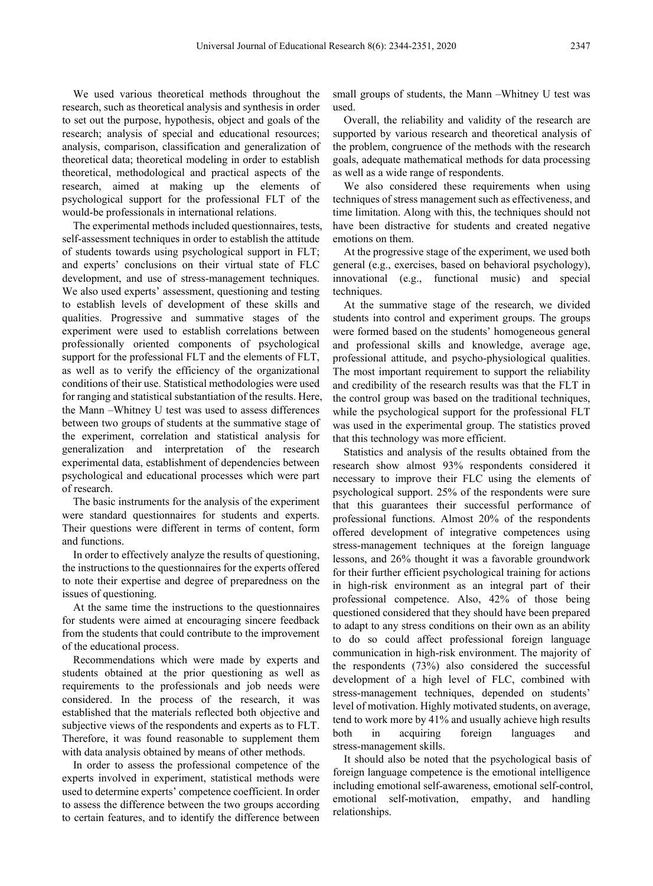We used various theoretical methods throughout the research, such as theoretical analysis and synthesis in order to set out the purpose, hypothesis, object and goals of the research; analysis of special and educational resources; analysis, comparison, classification and generalization of theoretical data; theoretical modeling in order to establish theoretical, methodological and practical aspects of the research, aimed at making up the elements of psychological support for the professional FLT of the would-be professionals in international relations.

The experimental methods included questionnaires, tests, self-assessment techniques in order to establish the attitude of students towards using psychological support in FLT; and experts' conclusions on their virtual state of FLC development, and use of stress-management techniques. We also used experts' assessment, questioning and testing to establish levels of development of these skills and qualities. Progressive and summative stages of the experiment were used to establish correlations between professionally oriented components of psychological support for the professional FLT and the elements of FLT, as well as to verify the efficiency of the organizational conditions of their use. Statistical methodologies were used for ranging and statistical substantiation of the results. Here, the Mann –Whitney U test was used to assess differences between two groups of students at the summative stage of the experiment, correlation and statistical analysis for generalization and interpretation of the research experimental data, establishment of dependencies between psychological and educational processes which were part of research.

The basic instruments for the analysis of the experiment were standard questionnaires for students and experts. Their questions were different in terms of content, form and functions.

In order to effectively analyze the results of questioning, the instructions to the questionnaires for the experts offered to note their expertise and degree of preparedness on the issues of questioning.

At the same time the instructions to the questionnaires for students were aimed at encouraging sincere feedback from the students that could contribute to the improvement of the educational process.

Recommendations which were made by experts and students obtained at the prior questioning as well as requirements to the professionals and job needs were considered. In the process of the research, it was established that the materials reflected both objective and subjective views of the respondents and experts as to FLT. Therefore, it was found reasonable to supplement them with data analysis obtained by means of other methods.

In order to assess the professional competence of the experts involved in experiment, statistical methods were used to determine experts' competence coefficient. In order to assess the difference between the two groups according to certain features, and to identify the difference between

small groups of students, the Mann –Whitney U test was used.

Overall, the reliability and validity of the research are supported by various research and theoretical analysis of the problem, congruence of the methods with the research goals, adequate mathematical methods for data processing as well as a wide range of respondents.

We also considered these requirements when using techniques of stress management such as effectiveness, and time limitation. Along with this, the techniques should not have been distractive for students and created negative emotions on them.

At the progressive stage of the experiment, we used both general (e.g., exercises, based on behavioral psychology), innovational (e.g., functional music) and special techniques.

At the summative stage of the research, we divided students into control and experiment groups. The groups were formed based on the students' homogeneous general and professional skills and knowledge, average age, professional attitude, and psycho-physiological qualities. The most important requirement to support the reliability and credibility of the research results was that the FLT in the control group was based on the traditional techniques, while the psychological support for the professional FLT was used in the experimental group. The statistics proved that this technology was more efficient.

Statistics and analysis of the results obtained from the research show almost 93% respondents considered it necessary to improve their FLC using the elements of psychological support. 25% of the respondents were sure that this guarantees their successful performance of professional functions. Almost 20% of the respondents offered development of integrative competences using stress-management techniques at the foreign language lessons, and 26% thought it was a favorable groundwork for their further efficient psychological training for actions in high-risk environment as an integral part of their professional competence. Also, 42% of those being questioned considered that they should have been prepared to adapt to any stress conditions on their own as an ability to do so could affect professional foreign language communication in high-risk environment. The majority of the respondents (73%) also considered the successful development of a high level of FLC, combined with stress-management techniques, depended on students' level of motivation. Highly motivated students, on average, tend to work more by 41% and usually achieve high results both in acquiring foreign languages and stress-management skills.

It should also be noted that the psychological basis of foreign language competence is the emotional intelligence including emotional self-awareness, emotional self-control, emotional self-motivation, empathy, and handling relationships.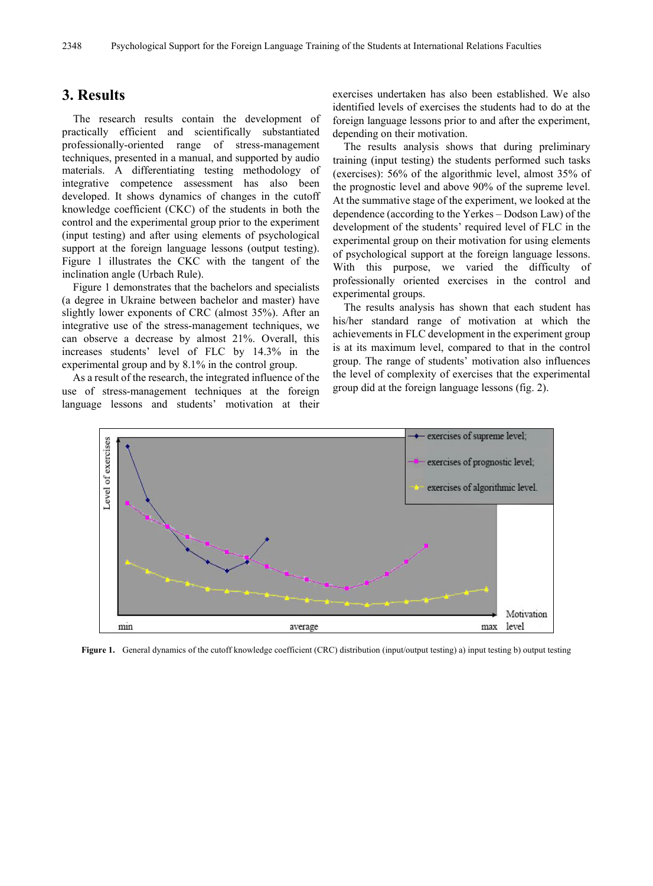### **3. Results**

The research results contain the development of practically efficient and scientifically substantiated professionally-oriented range of stress-management techniques, presented in a manual, and supported by audio materials. A differentiating testing methodology of integrative competence assessment has also been developed. It shows dynamics of changes in the cutoff knowledge coefficient (CKC) of the students in both the control and the experimental group prior to the experiment (input testing) and after using elements of psychological support at the foreign language lessons (output testing). Figure 1 illustrates the CKC with the tangent of the inclination angle (Urbach Rule).

Figure 1 demonstrates that the bachelors and specialists (a degree in Ukraine between bachelor and master) have slightly lower exponents of CRC (almost 35%). After an integrative use of the stress-management techniques, we can observe a decrease by almost 21%. Overall, this increases students' level of FLC by 14.3% in the experimental group and by 8.1% in the control group.

As a result of the research, the integrated influence of the use of stress-management techniques at the foreign language lessons and students' motivation at their

exercises undertaken has also been established. We also identified levels of exercises the students had to do at the foreign language lessons prior to and after the experiment, depending on their motivation.

The results analysis shows that during preliminary training (input testing) the students performed such tasks (exercises): 56% of the algorithmic level, almost 35% of the prognostic level and above 90% of the supreme level. At the summative stage of the experiment, we looked at the dependence (according to the Yerkes – Dodson Law) of the development of the students' required level of FLC in the experimental group on their motivation for using elements of psychological support at the foreign language lessons. With this purpose, we varied the difficulty of professionally oriented exercises in the control and experimental groups.

The results analysis has shown that each student has his/her standard range of motivation at which the achievements in FLC development in the experiment group is at its maximum level, compared to that in the control group. The range of students' motivation also influences the level of complexity of exercises that the experimental group did at the foreign language lessons (fig. 2).



**Figure 1.** General dynamics of the cutoff knowledge coefficient (CRC) distribution (input/output testing) a) input testing b) output testing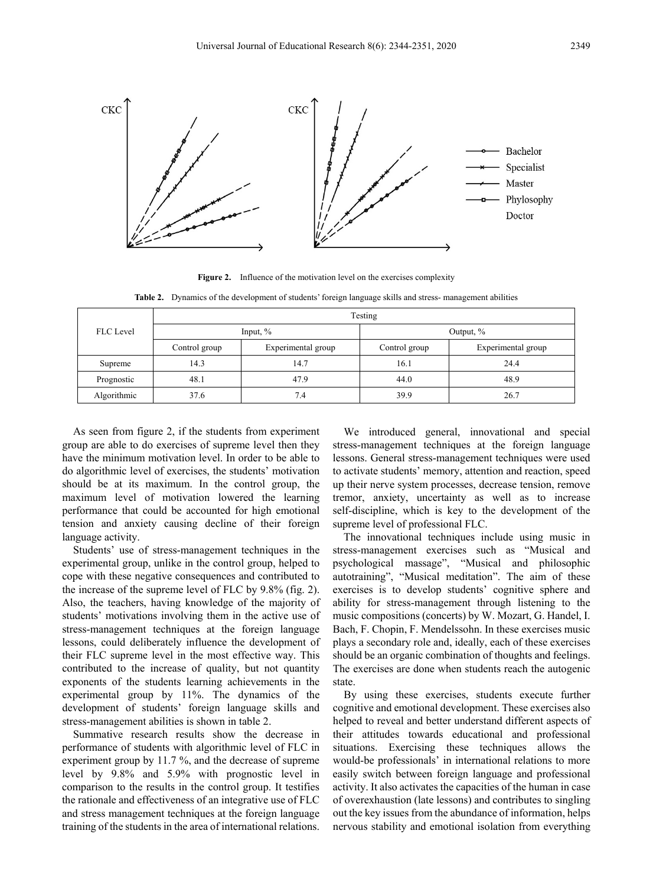

**Figure 2.** Influence of the motivation level on the exercises complexity

**Table 2.** Dynamics of the development of students' foreign language skills and stress- management abilities

| <b>FLC</b> Level | Testing       |                    |               |                    |
|------------------|---------------|--------------------|---------------|--------------------|
|                  | Input, $\%$   |                    | Output, $\%$  |                    |
|                  | Control group | Experimental group | Control group | Experimental group |
| Supreme          | 14.3          | 14.7               | 16.1          | 24.4               |
| Prognostic       | 48.1          | 47.9               | 44.0          | 48.9               |
| Algorithmic      | 37.6          | 7.4                | 39.9          | 26.7               |

As seen from figure 2, if the students from experiment group are able to do exercises of supreme level then they have the minimum motivation level. In order to be able to do algorithmic level of exercises, the students' motivation should be at its maximum. In the control group, the maximum level of motivation lowered the learning performance that could be accounted for high emotional tension and anxiety causing decline of their foreign language activity.

Students' use of stress-management techniques in the experimental group, unlike in the control group, helped to cope with these negative consequences and contributed to the increase of the supreme level of FLC by 9.8% (fig. 2). Also, the teachers, having knowledge of the majority of students' motivations involving them in the active use of stress-management techniques at the foreign language lessons, could deliberately influence the development of their FLC supreme level in the most effective way. This contributed to the increase of quality, but not quantity exponents of the students learning achievements in the experimental group by 11%. The dynamics of the development of students' foreign language skills and stress-management abilities is shown in table 2.

Summative research results show the decrease in performance of students with algorithmic level of FLC in experiment group by 11.7 %, and the decrease of supreme level by 9.8% and 5.9% with prognostic level in comparison to the results in the control group. It testifies the rationale and effectiveness of an integrative use of FLC and stress management techniques at the foreign language training of the students in the area of international relations.

We introduced general, innovational and special stress-management techniques at the foreign language lessons. General stress-management techniques were used to activate students' memory, attention and reaction, speed up their nerve system processes, decrease tension, remove tremor, anxiety, uncertainty as well as to increase self-discipline, which is key to the development of the supreme level of professional FLC.

The innovational techniques include using music in stress-management exercises such as "Musical and psychological massage", "Musical and philosophic autotraining", "Musical meditation". The aim of these exercises is to develop students' cognitive sphere and ability for stress-management through listening to the music compositions (concerts) by W. Mozart, G. Handel, I. Bach, F. Chopin, F. Mendelssohn. In these exercises music plays a secondary role and, ideally, each of these exercises should be an organic combination of thoughts and feelings. The exercises are done when students reach the autogenic state.

By using these exercises, students execute further cognitive and emotional development. These exercises also helped to reveal and better understand different aspects of their attitudes towards educational and professional situations. Exercising these techniques allows the would-be professionals' in international relations to more easily switch between foreign language and professional activity. It also activates the capacities of the human in case of overexhaustion (late lessons) and contributes to singling out the key issues from the abundance of information, helps nervous stability and emotional isolation from everything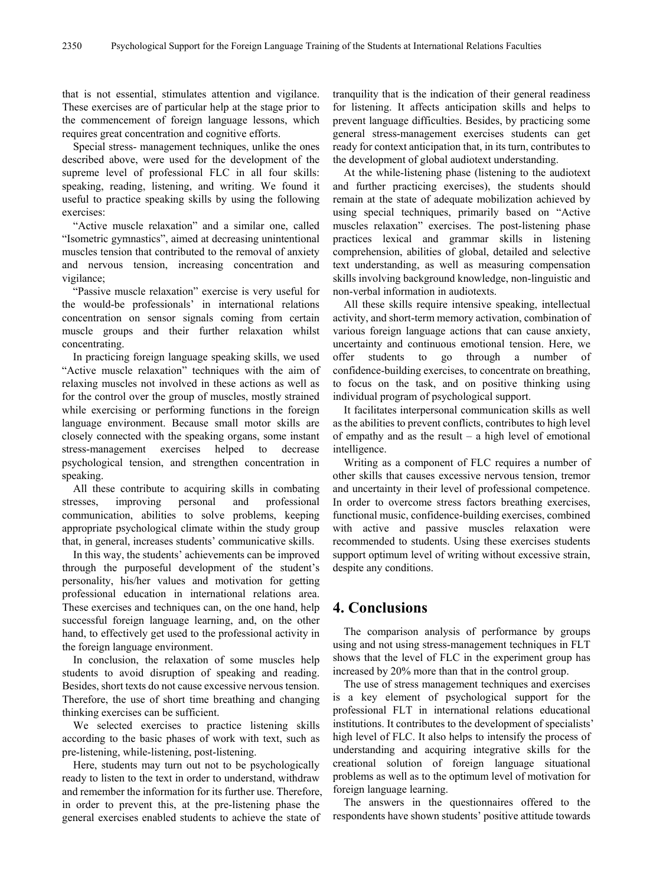that is not essential, stimulates attention and vigilance. These exercises are of particular help at the stage prior to the commencement of foreign language lessons, which requires great concentration and cognitive efforts.

Special stress- management techniques, unlike the ones described above, were used for the development of the supreme level of professional FLC in all four skills: speaking, reading, listening, and writing. We found it useful to practice speaking skills by using the following exercises:

"Active muscle relaxation" and a similar one, called "Isometric gymnastics", aimed at decreasing unintentional muscles tension that contributed to the removal of anxiety and nervous tension, increasing concentration and vigilance;

"Passive muscle relaxation" exercise is very useful for the would-be professionals' in international relations concentration on sensor signals coming from certain muscle groups and their further relaxation whilst concentrating.

In practicing foreign language speaking skills, we used "Active muscle relaxation" techniques with the aim of relaxing muscles not involved in these actions as well as for the control over the group of muscles, mostly strained while exercising or performing functions in the foreign language environment. Because small motor skills are closely connected with the speaking organs, some instant stress-management exercises helped to decrease psychological tension, and strengthen concentration in speaking.

All these contribute to acquiring skills in combating stresses, improving personal and professional communication, abilities to solve problems, keeping appropriate psychological climate within the study group that, in general, increases students' communicative skills.

In this way, the students' achievements can be improved through the purposeful development of the student's personality, his/her values and motivation for getting professional education in international relations area. These exercises and techniques can, on the one hand, help successful foreign language learning, and, on the other hand, to effectively get used to the professional activity in the foreign language environment.

In conclusion, the relaxation of some muscles help students to avoid disruption of speaking and reading. Besides, short texts do not cause excessive nervous tension. Therefore, the use of short time breathing and changing thinking exercises can be sufficient.

We selected exercises to practice listening skills according to the basic phases of work with text, such as pre-listening, while-listening, post-listening.

Here, students may turn out not to be psychologically ready to listen to the text in order to understand, withdraw and remember the information for its further use. Therefore, in order to prevent this, at the pre-listening phase the general exercises enabled students to achieve the state of

tranquility that is the indication of their general readiness for listening. It affects anticipation skills and helps to prevent language difficulties. Besides, by practicing some general stress-management exercises students can get ready for context anticipation that, in its turn, contributes to the development of global audiotext understanding.

At the while-listening phase (listening to the audiotext and further practicing exercises), the students should remain at the state of adequate mobilization achieved by using special techniques, primarily based on "Active muscles relaxation" exercises. The post-listening phase practices lexical and grammar skills in listening comprehension, abilities of global, detailed and selective text understanding, as well as measuring compensation skills involving background knowledge, non-linguistic and non-verbal information in audiotexts.

All these skills require intensive speaking, intellectual activity, and short-term memory activation, combination of various foreign language actions that can cause anxiety, uncertainty and continuous emotional tension. Here, we offer students to go through a number of confidence-building exercises, to concentrate on breathing, to focus on the task, and on positive thinking using individual program of psychological support.

It facilitates interpersonal communication skills as well as the abilities to prevent conflicts, contributes to high level of empathy and as the result – a high level of emotional intelligence.

Writing as a component of FLC requires a number of other skills that causes excessive nervous tension, tremor and uncertainty in their level of professional competence. In order to overcome stress factors breathing exercises, functional music, confidence-building exercises, combined with active and passive muscles relaxation were recommended to students. Using these exercises students support optimum level of writing without excessive strain, despite any conditions.

# **4. Conclusions**

The comparison analysis of performance by groups using and not using stress-management techniques in FLT shows that the level of FLC in the experiment group has increased by 20% more than that in the control group.

The use of stress management techniques and exercises is a key element of psychological support for the professional FLT in international relations educational institutions. It contributes to the development of specialists' high level of FLC. It also helps to intensify the process of understanding and acquiring integrative skills for the creational solution of foreign language situational problems as well as to the optimum level of motivation for foreign language learning.

The answers in the questionnaires offered to the respondents have shown students' positive attitude towards